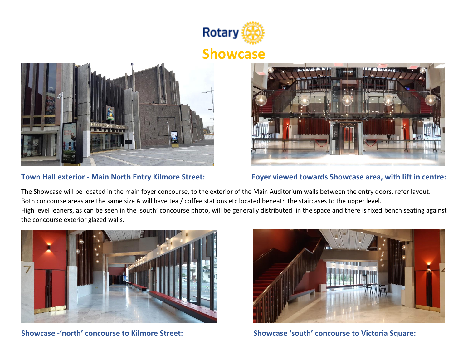

## **Showcase**





**Town Hall exterior - Main North Entry Kilmore Street: Foyer viewed towards Showcase area, with lift in centre:**

The Showcase will be located in the main foyer concourse, to the exterior of the Main Auditorium walls between the entry doors, refer layout. Both concourse areas are the same size & will have tea / coffee stations etc located beneath the staircases to the upper level. High level leaners, as can be seen in the 'south' concourse photo, will be generally distributed in the space and there is fixed bench seating against the concourse exterior glazed walls.





**Showcase -'north' concourse to Kilmore Street: Showcase 'south' concourse to Victoria Square:**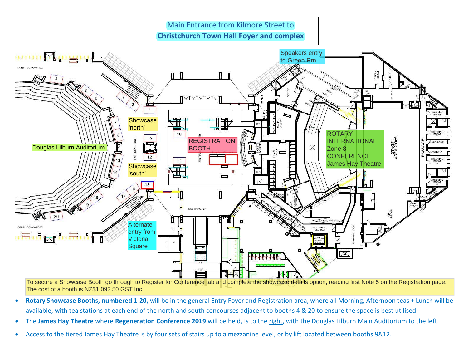

To secure a Showcase Booth go through to Register for Conference tab and complete the showcase details option, reading first Note 5 on the Registration page. The cost of a booth is NZ\$1,092.50 GST Inc.

- **Rotary Showcase Booths, numbered 1-20,** will be in the general Entry Foyer and Registration area, where all Morning, Afternoon teas + Lunch will be available, with tea stations at each end of the north and south concourses adjacent to booths 4 & 20 to ensure the space is best utilised.
- The **James Hay Theatre** where **Regeneration Conference 2019** will be held, is to the right, with the Douglas Lilburn Main Auditorium to the left.
- Access to the tiered James Hay Theatre is by four sets of stairs up to a mezzanine level, or by lift located between booths 9&12.